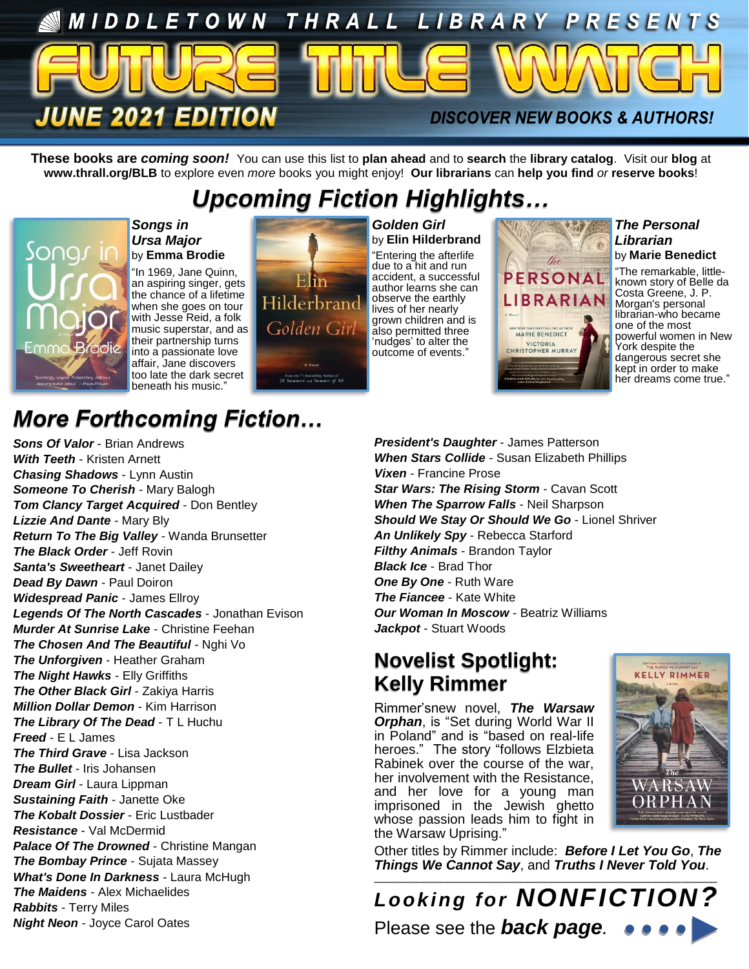

**These books are** *coming soon!* You can use this list to **plan ahead** and to **search** the **library catalog**. Visit our **blog** at **www.thrall.org/BLB** to explore even *more* books you might enjoy! **Our librarians** can **help you find** *or* **reserve books**!

## *Upcoming Fiction Highlights…*



#### *Songs in Ursa Major* by **Emma Brodie**

"In 1969, Jane Quinn, an aspiring singer, gets the chance of a lifetime when she goes on tour with Jesse Reid, a folk music superstar, and as their partnership turns into a passionate love affair, Jane discovers too late the dark secret beneath his music."



*Golden Girl* by **Elin Hilderbrand** "Entering the afterlife due to a hit and run accident, a successful author learns she can observe the earthly lives of her nearly grown children and is also permitted three 'nudges' to alter the outcome of events.'



*The Personal Librarian* by **Marie Benedict**

"The remarkable, littleknown story of Belle da Costa Greene, J. P. Morgan's personal librarian-who became one of the most powerful women in New York despite the dangerous secret she kept in order to make her dreams come true."

## *More Forthcoming Fiction…*

*Sons Of Valor* - Brian Andrews *With Teeth* - Kristen Arnett *Chasing Shadows* - Lynn Austin *Someone To Cherish* - Mary Balogh *Tom Clancy Target Acquired - Don Bentley Lizzie And Dante* - Mary Bly *Return To The Big Valley* - Wanda Brunsetter *The Black Order* - Jeff Rovin *Santa's Sweetheart* - Janet Dailey *Dead By Dawn* - Paul Doiron *Widespread Panic* - James Ellroy *Legends Of The North Cascades* - Jonathan Evison *Murder At Sunrise Lake* - Christine Feehan *The Chosen And The Beautiful* - Nghi Vo *The Unforgiven* - Heather Graham *The Night Hawks* - Elly Griffiths *The Other Black Girl* - Zakiya Harris *Million Dollar Demon* - Kim Harrison *The Library Of The Dead* - T L Huchu *Freed* - E L James *The Third Grave* - Lisa Jackson *The Bullet* - Iris Johansen *Dream Girl* - Laura Lippman *Sustaining Faith* - Janette Oke *The Kobalt Dossier* - Eric Lustbader *Resistance* - Val McDermid *Palace Of The Drowned* - Christine Mangan *The Bombay Prince* - Sujata Massey *What's Done In Darkness* - Laura McHugh *The Maidens* - Alex Michaelides *Rabbits* - Terry Miles *Night Neon* - Joyce Carol Oates

*President's Daughter* - James Patterson *When Stars Collide* - Susan Elizabeth Phillips *Vixen* - Francine Prose **Star Wars: The Rising Storm - Cavan Scott** *When The Sparrow Falls* - Neil Sharpson *Should We Stay Or Should We Go* - Lionel Shriver *An Unlikely Spy* - Rebecca Starford *Filthy Animals* - Brandon Taylor *Black Ice* - Brad Thor *One By One* - Ruth Ware *The Fiancee* - Kate White *Our Woman In Moscow* - Beatriz Williams *Jackpot* - Stuart Woods

### **Novelist Spotlight: Kelly Rimmer**

Rimmer'snew novel, *The Warsaw*  **Orphan**, is "Set during World War II in Poland" and is "based on real-life heroes." The story "follows Elzbieta Rabinek over the course of the war, her involvement with the Resistance, and her love for a young man imprisoned in the Jewish ghetto whose passion leads him to fight in the Warsaw Uprising."



Other titles by Rimmer include: *Before I Let You Go*, *The Things We Cannot Say*, and *Truths I Never Told You*.

\_\_\_\_\_\_\_\_\_\_\_\_\_\_\_\_\_\_\_\_\_\_\_\_\_\_\_\_\_\_\_\_\_\_\_\_\_\_\_\_\_\_\_\_\_\_\_\_\_\_\_\_\_\_\_\_ *Looking for NONFICTION?* Please see the *back page.*